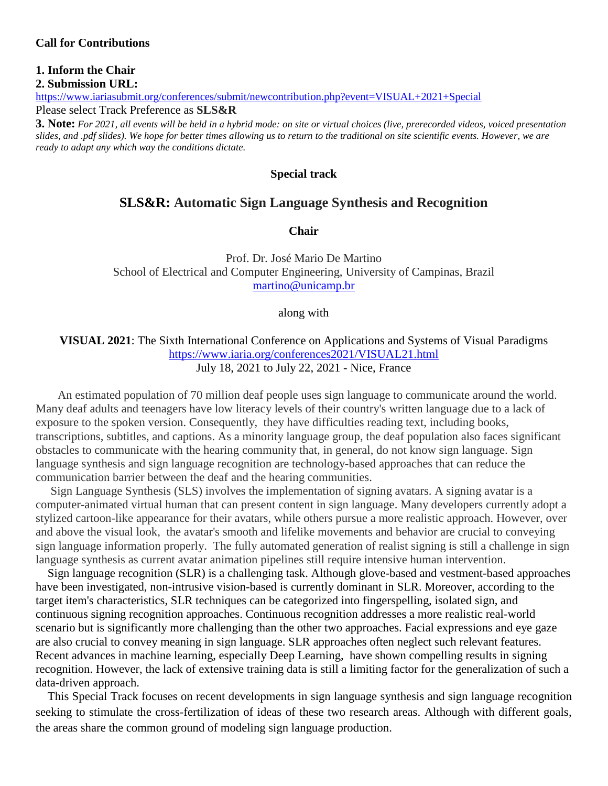#### **1. Inform the Chair 2. Submission URL:**

<https://www.iariasubmit.org/conferences/submit/newcontribution.php?event=VISUAL+2021+Special> Please select Track Preference as **SLS&R**

**3. Note:** *For 2021, all events will be held in a hybrid mode: on site or virtual choices (live, prerecorded videos, voiced presentation slides, and .pdf slides). We hope for better times allowing us to return to the traditional on site scientific events. However, we are ready to adapt any which way the conditions dictate.*

#### **Special track**

#### **SLS&R: Automatic Sign Language Synthesis and Recognition**

**Chair**

Prof. Dr. José Mario De Martino School of Electrical and Computer Engineering, University of Campinas, Brazil [martino@unicamp.br](mailto:martino@unicamp.br)

along with

#### **VISUAL 2021**: The Sixth International Conference on Applications and Systems of Visual Paradigms <https://www.iaria.org/conferences2021/VISUAL21.html> July 18, 2021 to July 22, 2021 - Nice, France

An estimated population of 70 million deaf people uses sign language to communicate around the world. Many deaf adults and teenagers have low literacy levels of their country's written language due to a lack of exposure to the spoken version. Consequently, they have difficulties reading text, including books, transcriptions, subtitles, and captions. As a minority language group, the deaf population also faces significant obstacles to communicate with the hearing community that, in general, do not know sign language. Sign language synthesis and sign language recognition are technology-based approaches that can reduce the communication barrier between the deaf and the hearing communities.

Sign Language Synthesis (SLS) involves the implementation of signing avatars. A signing avatar is a computer-animated virtual human that can present content in sign language. Many developers currently adopt a stylized cartoon-like appearance for their avatars, while others pursue a more realistic approach. However, over and above the visual look, the avatar's smooth and lifelike movements and behavior are crucial to conveying sign language information properly. The fully automated generation of realist signing is still a challenge in sign language synthesis as current avatar animation pipelines still require intensive human intervention.

Sign language recognition (SLR) is a challenging task. Although glove-based and vestment-based approaches have been investigated, non-intrusive vision-based is currently dominant in SLR. Moreover, according to the target item's characteristics, SLR techniques can be categorized into fingerspelling, isolated sign, and continuous signing recognition approaches. Continuous recognition addresses a more realistic real-world scenario but is significantly more challenging than the other two approaches. Facial expressions and eye gaze are also crucial to convey meaning in sign language. SLR approaches often neglect such relevant features. Recent advances in machine learning, especially Deep Learning, have shown compelling results in signing recognition. However, the lack of extensive training data is still a limiting factor for the generalization of such a data-driven approach.

This Special Track focuses on recent developments in sign language synthesis and sign language recognition seeking to stimulate the cross-fertilization of ideas of these two research areas. Although with different goals, the areas share the common ground of modeling sign language production.